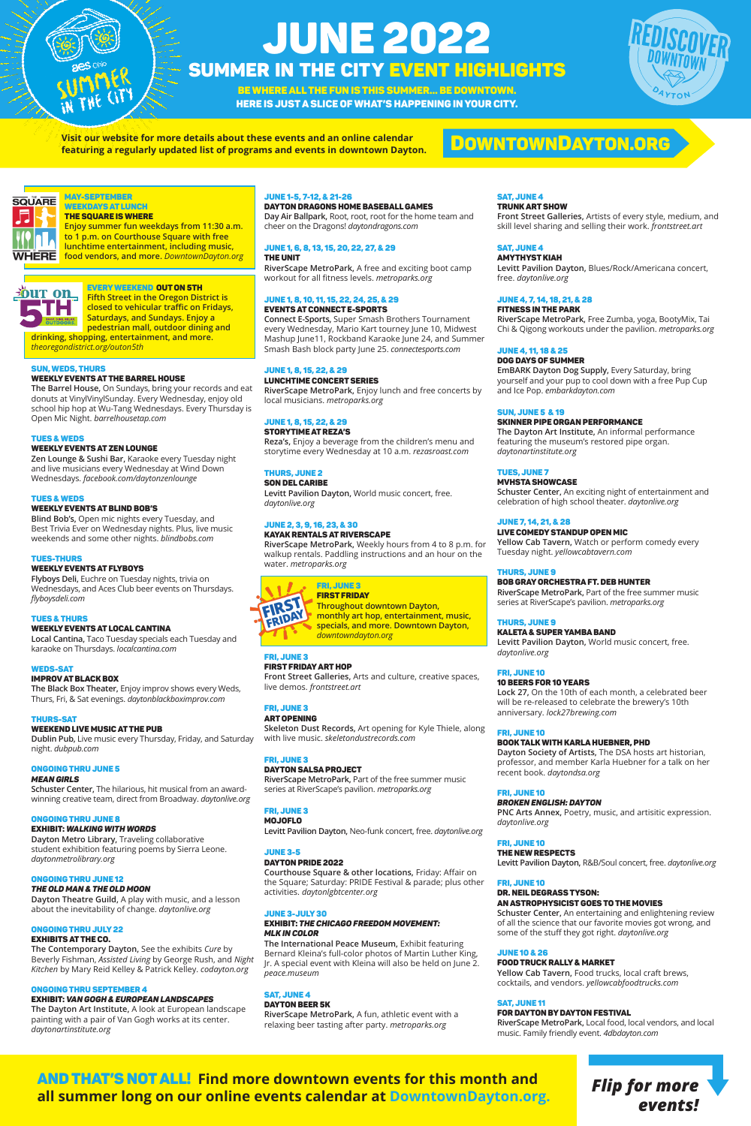# JUNE 2022 Summer in the City Event HIGHLIGHTS

And that's not all! **Find more downtown events for this month and all summer long on our online events calendar at DowntownDayton.org.**

# DowntownDayton.org

BE WHERE ALL THE FUN IS THIS SUMMER… BE DOWNTOWN. Here is just a slice of what's happening in your city.

> *Flip for more events!*





#### weekdays at lunch the Square Is Where

**Enjoy summer fun weekdays from 11:30 a.m. to 1 p.m. on Courthouse Square with free lunchtime entertainment, including music, food vendors, and more.** *DowntownDayton.org* 



# Every weekend out on 5th

**Fifth Street in the Oregon District is closed to vehicular traffic on Fridays, Saturdays, and Sundays. Enjoy a pedestrian mall, outdoor dining and drinking, shopping, entertainment, and more.** 

*theoregondistrict.org/outon5th* 

# Sun, Weds, Thurs

# Weekly Events at The Barrel House

**The Barrel House,** On Sundays, bring your records and eat donuts at VinylVinylSunday. Every Wednesday, enjoy old school hip hop at Wu-Tang Wednesdays. Every Thursday is Open Mic Night. *barrelhousetap.com*

#### Tues & Weds

# Weekly Events at Zen Lounge

**Zen Lounge & Sushi Bar,** Karaoke every Tuesday night and live musicians every Wednesday at Wind Down Wednesdays. *facebook.com/daytonzenlounge*

#### Tues & Weds

# Weekly Events at Blind Bob's

**Blind Bob's,** Open mic nights every Tuesday, and Best Trivia Ever on Wednesday nights. Plus, live music weekends and some other nights. *blindbobs.com*

#### Tues-Thurs

#### Weekly Events at Flyboys

**Flyboys Deli,** Euchre on Tuesday nights, trivia on Wednesdays, and Aces Club beer events on Thursdays. *flyboysdeli.com*

#### Tues & Thurs

# Weekly Events at Local Cantina

**Local Cantina,** Taco Tuesday specials each Tuesday and karaoke on Thursdays. *localcantina.com* 

# Weds-Sat

#### improv at Black Box

**The Black Box Theater,** Enjoy improv shows every Weds, Thurs, Fri, & Sat evenings. *daytonblackboximprov.com*

#### Thurs-SAT

# Weekend Live Music at the Pub

**Dublin Pub,** Live music every Thursday, Friday, and Saturday night. *dubpub.com*

#### Ongoing thru June 5 *Mean Girls*

**FIRST FRIDAY Throughout downtown Dayton, monthly art hop, entertainment, music, specials, and more. Downtown Dayton,**  *downtowndayton.org*

**Schuster Center,** The hilarious, hit musical from an awardwinning creative team, direct from Broadway. *daytonlive.org*

#### Ongoing thru June 8

#### exhibit: *Walking with Words*

**Dayton Metro Library,** Traveling collaborative student exhibition featuring poems by Sierra Leone. *daytonmetrolibrary.org*

#### Ongoing thru June 12

#### *The Old Man & The Old Moon*

**Dayton Theatre Guild,** A play with music, and a lesson about the inevitability of change. *daytonlive.org*

#### Ongoing Thru July 22

#### Exhibits at The Co.

**The Contemporary Dayton,** See the exhibits *Cure* by Beverly Fishman, *Assisted Living* by George Rush, and *Night Kitchen* by Mary Reid Kelley & Patrick Kelley. *codayton.org*

#### ONGOING THRU SEPTEMBER 4

#### Exhibit: *VAN GOGH & EUROPEAN LANDSCAPES*

**The Dayton Art Institute,** A look at European landscape painting with a pair of Van Gogh works at its center. *daytonartinstitute.org* 

# June 1-5, 7-12, & 21-26

# Dayton Dragons Home Baseball Games

**Day Air Ballpark,** Root, root, root for the home team and cheer on the Dragons! *daytondragons.com*

#### June 1, 6, 8, 13, 15, 20, 22, 27, & 29 The Unit

**RiverScape MetroPark,** A free and exciting boot camp workout for all fitness levels. *metroparks.org*

# June 1, 8, 10, 11, 15, 22, 24, 25, & 29 Events at Connect e-sports

**Connect E-Sports,** Super Smash Brothers Tournament every Wednesday, Mario Kart tourney June 10, Midwest Mashup June11, Rockband Karaoke June 24, and Summer Smash Bash block party June 25. *connectesports.com*

# June 1, 8, 15, 22, & 29

# Lunchtime Concert Series

**RiverScape MetroPark,** Enjoy lunch and free concerts by local musicians. *metroparks.org*

# June 1, 8, 15, 22, & 29

# Storytime at Reza's

**Reza's,** Enjoy a beverage from the children's menu and storytime every Wednesday at 10 a.m. *rezasroast.com*

# Thurs, June 2

Son del Caribe

**Levitt Pavilion Dayton,** World music concert, free. *daytonlive.org*

# June 2, 3, 9, 16, 23, & 30

Kayak Rentals at Riverscape **RiverScape MetroPark,** Weekly hours from 4 to 8 p.m. for walkup rentals. Paddling instructions and an hour on the water. *metroparks.org*



#### Fri, June 3 First Friday art hop

**Front Street Galleries,** Arts and culture, creative spaces, live demos. *frontstreet.art*

# Fri, June 3

# Art Opening

**Skeleton Dust Records,** Art opening for Kyle Thiele, along with live music. *skeletondustrecords.com*

#### Fri, June 3 Dayton Salsa Project

**RiverScape MetroPark,** Part of the free summer music

# **SAT, JUNE 4**

series at RiverScape's pavilion. *metroparks.org*

# Fri, June 3

# MojOFLO

**Levitt Pavilion Dayton,** Neo-funk concert, free. *daytonlive.org*

# June 3-5

#### Dayton Pride 2022

**Courthouse Square & other locations,** Friday: Affair on the Square; Saturday: PRIDE Festival & parade; plus other activities. *daytonlgbtcenter.org*

#### June 3-July 30

#### Exhibit: *The chicago freedom movement: MLK in color*

**The International Peace Museum,** Exhibit featuring Bernard Kleina's full-color photos of Martin Luther King, Jr. A special event with Kleina will also be held on June 2. *peace.museum*

# **SAT, JUNE 4**

#### Dayton Beer 5K

**RiverScape MetroPark,** A fun, athletic event with a relaxing beer tasting after party. *metroparks.org*

Trunk Art Show

**Front Street Galleries,** Artists of every style, medium, and skill level sharing and selling their work. *frontstreet.art*

# **SAT, JUNE 4**

#### Amythyst kiah

**Levitt Pavilion Dayton,** Blues/Rock/Americana concert, free. *daytonlive.org*

# June 4, 7, 14, 18, 21, & 28

#### Fitness in the Park

**RiverScape MetroPark,** Free Zumba, yoga, BootyMix, Tai Chi & Qigong workouts under the pavilion. *metroparks.org*

# June 4, 11, 18 & 25

### Dog Days of Summer

**EmBARK Dayton Dog Supply,** Every Saturday, bring yourself and your pup to cool down with a free Pup Cup and Ice Pop. *embarkdayton.com*

# Sun, June 5 & 19

# Skinner Pipe Organ Performance

**The Dayton Art Institute,** An informal performance featuring the museum's restored pipe organ. *daytonartinstitute.org*

# Tues, June 7

#### MVHSTA Showcase

**Schuster Center,** An exciting night of entertainment and celebration of high school theater. *daytonlive.org*

# June 7, 14, 21, & 28

#### Live Comedy Standup Open Mic

**Yellow Cab Tavern,** Watch or perform comedy every Tuesday night. *yellowcabtavern.com*

#### Thurs, June 9

# Bob Gray Orchestra ft. Deb Hunter

**RiverScape MetroPark,** Part of the free summer music series at RiverScape's pavilion. *metroparks.org*

# Thurs, June 9

#### Kaleta & Super yamba Band

**Levitt Pavilion Dayton,** World music concert, free. *daytonlive.org*

# Fri, June 10

# 10 Beers for 10 Years

**Lock 27,** On the 10th of each month, a celebrated beer will be re-released to celebrate the brewery's 10th anniversary. *lock27brewing.com*

# Fri, June 10

#### Book Talk with Karla Huebner, PHD

**Dayton Society of Artists,** The DSA hosts art historian, professor, and member Karla Huebner for a talk on her recent book. *daytondsa.org*





#### Fri, June 10

#### *Broken English: Dayton*

**PNC Arts Annex,** Poetry, music, and artisitic expression. *daytonlive.org*

#### Fri, June 10

#### The New Respects

**Levitt Pavilion Dayton,** R&B/Soul concert, free. *daytonlive.org* 

#### Fri, June 10

#### Dr. Neil Degrass Tyson: An Astrophysicist Goes to the Movies

**Schuster Center,** An entertaining and enlightening review of all the science that our favorite movies got wrong, and some of the stuff they got right. *daytonlive.org*

#### June 10 & 26

#### Food Truck Rally & Market

**Yellow Cab Tavern,** Food trucks, local craft brews, cocktails, and vendors. *yellowcabfoodtrucks.com*

### Sat, June 11

#### For Dayton By Dayton Festival

**RiverScape MetroPark,** Local food, local vendors, and local music. Family friendly event. *4dbdayton.com*